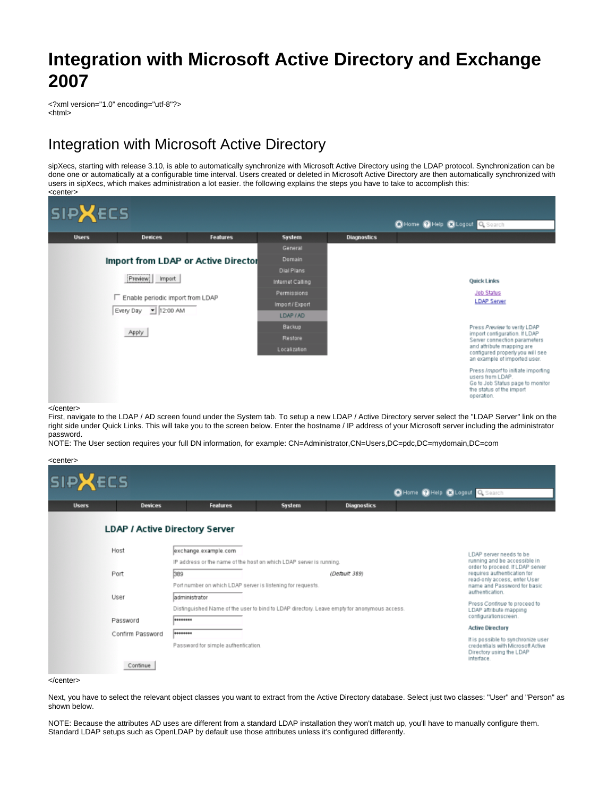# **Integration with Microsoft Active Directory and Exchange 2007**

<?xml version="1.0" encoding="utf-8"?> <html>

# Integration with Microsoft Active Directory

sipXecs, starting with release 3.10, is able to automatically synchronize with Microsoft Active Directory using the LDAP protocol. Synchronization can be done one or automatically at a configurable time interval. Users created or deleted in Microsoft Active Directory are then automatically synchronized with users in sipXecs, which makes administration a lot easier. the following explains the steps you have to take to accomplish this: <center>



</center>

First, navigate to the LDAP / AD screen found under the System tab. To setup a new LDAP / Active Directory server select the "LDAP Server" link on the right side under Quick Links. This will take you to the screen below. Enter the hostname / IP address of your Microsoft server including the administrator password.

NOTE: The User section requires your full DN information, for example: CN=Administrator,CN=Users,DC=pdc,DC=mydomain,DC=com

| <b>SIPXECS</b> |                  |                                                                                                               |                                                                     |                    |                                 |                                                                                                                  |  |
|----------------|------------------|---------------------------------------------------------------------------------------------------------------|---------------------------------------------------------------------|--------------------|---------------------------------|------------------------------------------------------------------------------------------------------------------|--|
|                |                  |                                                                                                               |                                                                     |                    | C Home O Help C Logout Q Search |                                                                                                                  |  |
| <b>Users</b>   | <b>Devices</b>   | <b>Features</b>                                                                                               | <b>System</b>                                                       | <b>Diagnostics</b> |                                 |                                                                                                                  |  |
|                |                  | <b>LDAP / Active Directory Server</b>                                                                         |                                                                     |                    |                                 |                                                                                                                  |  |
|                | Host             | exchange.example.com                                                                                          |                                                                     |                    |                                 | LDAP server needs to be                                                                                          |  |
|                |                  |                                                                                                               | IP address or the name of the host on which LDAP server is running. |                    |                                 | running and be accessible in<br>order to proceed. If LDAP server                                                 |  |
|                | Port             | 389                                                                                                           |                                                                     | (Default 389)      |                                 | requires authentication for<br>read-only access, enter User<br>name and Password for basic<br>authentication.    |  |
|                |                  | Port number on which LDAP server is listening for requests.                                                   |                                                                     |                    |                                 |                                                                                                                  |  |
|                | User             | ladministrator<br>Distinguished Name of the user to bind to LDAP directory. Leave empty for anonymous access. |                                                                     |                    |                                 | Press Continue to proceed to                                                                                     |  |
|                | Password         | ********                                                                                                      |                                                                     |                    |                                 | LDAP attribute mapping<br>configurationscreen.                                                                   |  |
|                | Confirm Password |                                                                                                               |                                                                     |                    |                                 | <b>Active Directory</b>                                                                                          |  |
|                |                  | Password for simple authentication.                                                                           |                                                                     |                    |                                 | It is possible to synchronize user<br>credentials with Microsoft Active<br>Directory using the LDAP<br>interface |  |
|                | Continue         |                                                                                                               |                                                                     |                    |                                 |                                                                                                                  |  |

Next, you have to select the relevant object classes you want to extract from the Active Directory database. Select just two classes: "User" and "Person" as shown below.

NOTE: Because the attributes AD uses are different from a standard LDAP installation they won't match up, you'll have to manually configure them. Standard LDAP setups such as OpenLDAP by default use those attributes unless it's configured differently.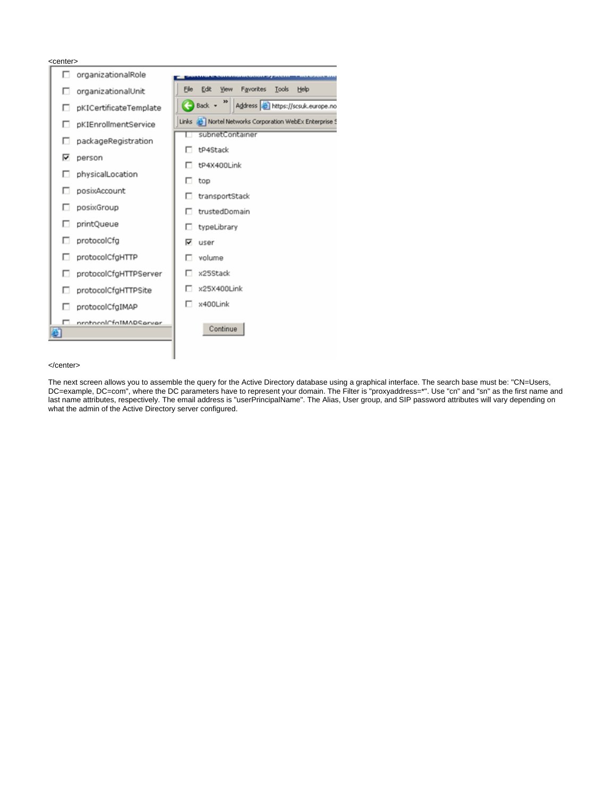| <center></center>           |                                                                                 |
|-----------------------------|---------------------------------------------------------------------------------|
| г<br>organizationalRole     |                                                                                 |
| organizationalUnit<br>⊓     | Edit<br>Favorites<br>File<br>View<br>Tools Help                                 |
| pKICertificateTemplate<br>⊓ | $\bigoplus$ Back $\rightarrow$ $\bigoplus$<br>Address & https://scsuk.europe.no |
| pKIEnrollmentService<br>г   | Links & Nortel Networks Corporation WebEx Enterprise 5                          |
| packageRegistration         | subnetContainer                                                                 |
| ⊽<br>person                 | tP4Stack                                                                        |
| physicalLocation            | tP4X400Link                                                                     |
| posixAccount                | top                                                                             |
| posixGroup                  | transportStack<br>trustedDomain                                                 |
| printQueue                  | typeLibrary                                                                     |
| protocolCfg                 | ⊽<br>user                                                                       |
| protocolCfgHTTP             | volume                                                                          |
| protocolCfgHTTPServer       | x25Stack                                                                        |
| protocolCfgHTTPSite         | x25X400Link                                                                     |
| protocolCfgIMAP             | x400Link<br>п                                                                   |
| nrotocolCfaIMADSarver       |                                                                                 |
|                             | Continue                                                                        |
|                             |                                                                                 |

### </center>

The next screen allows you to assemble the query for the Active Directory database using a graphical interface. The search base must be: "CN=Users, DC=example, DC=com", where the DC parameters have to represent your domain. The Filter is "proxyaddress=\*". Use "cn" and "sn" as the first name and last name attributes, respectively. The email address is "userPrincipalName". The Alias, User group, and SIP password attributes will vary depending on what the admin of the Active Directory server configured.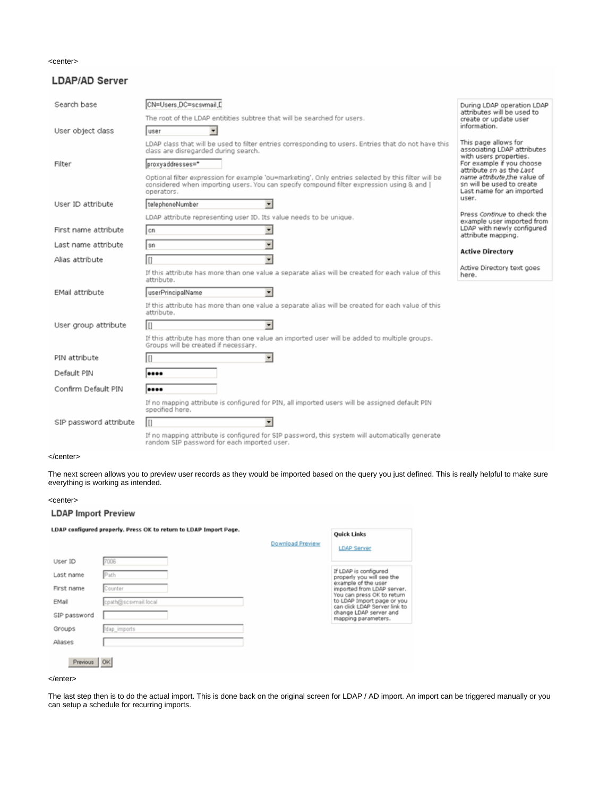### <center>

### **LDAP/AD Server**

| Search base            | CN=Users.DC=scsymail.D                                                                                                                                                                                         | During LDAP operation LDAP<br>attributes will be used to                                        |  |
|------------------------|----------------------------------------------------------------------------------------------------------------------------------------------------------------------------------------------------------------|-------------------------------------------------------------------------------------------------|--|
|                        | The root of the LDAP entitities subtree that will be searched for users.                                                                                                                                       | create or update user<br>information.                                                           |  |
| User object class      | luser                                                                                                                                                                                                          |                                                                                                 |  |
|                        | LDAP class that will be used to filter entries corresponding to users. Entries that do not have this<br>class are disregarded during search.                                                                   | This page allows for<br>associating LDAP attributes<br>with users properties.                   |  |
| Filter                 | proxyaddresses=*                                                                                                                                                                                               | For example if you choose<br>attribute sn as the Last                                           |  |
|                        | Optional filter expression for example 'ou=marketing'. Only entries selected by this filter will be<br>considered when importing users. You can specify compound filter expression using & and [<br>operators. | name attribute, the value of<br>sn will be used to create<br>Last name for an imported<br>user. |  |
| User ID attribute      | telephoneNumber                                                                                                                                                                                                |                                                                                                 |  |
|                        | LDAP attribute representing user ID. Its value needs to be unique.                                                                                                                                             | Press Continue to check the<br>example user imported from                                       |  |
| First name attribute   | ×<br>l cn                                                                                                                                                                                                      | LDAP with newly configured<br>attribute mapping.                                                |  |
| Last name attribute    | ▼<br>sn                                                                                                                                                                                                        | <b>Active Directory</b>                                                                         |  |
| Alias attribute        | lπ<br>٠                                                                                                                                                                                                        |                                                                                                 |  |
|                        | If this attribute has more than one value a separate alias will be created for each value of this<br>attribute.                                                                                                | Active Directory text goes<br>here.                                                             |  |
| EMail attribute        | userPrincipalName                                                                                                                                                                                              |                                                                                                 |  |
|                        | If this attribute has more than one value a separate alias will be created for each value of this<br>attribute.                                                                                                |                                                                                                 |  |
| User group attribute   | ln                                                                                                                                                                                                             |                                                                                                 |  |
|                        | If this attribute has more than one value an imported user will be added to multiple groups.<br>Groups will be created if necessary.                                                                           |                                                                                                 |  |
| PIN attribute          | In                                                                                                                                                                                                             |                                                                                                 |  |
| Default PIN            |                                                                                                                                                                                                                |                                                                                                 |  |
| Confirm Default PIN    |                                                                                                                                                                                                                |                                                                                                 |  |
|                        | If no mapping attribute is configured for PIN, all imported users will be assigned default PIN<br>specified here.                                                                                              |                                                                                                 |  |
| SIP password attribute | In                                                                                                                                                                                                             |                                                                                                 |  |
|                        | If no mapping attribute is configured for SIP password, this system will automatically generate<br>random SIP password for each imported user.                                                                 |                                                                                                 |  |

### </center>

The next screen allows you to preview user records as they would be imported based on the query you just defined. This is really helpful to make sure everything is working as intended.

### <center>

### **LDAP Import Preview**

LDAP configured properly. Press OK to return to LDAP Import Page. **Quick Links Download Preview** LDAP Server User ID 7006 If LDAP is configured<br>properly you will see the<br>example of the user<br>imported from LDAP server.<br>You can press OK to return<br>to LDAP limport page or you<br>can click LDAP Server link to<br>change LDAP server and<br>mapping parameters. Path Last name First name Counter EMail cpath@scswmail.local SIP password Groups Idap\_imports Aliases Previous | OK

### </enter>

The last step then is to do the actual import. This is done back on the original screen for LDAP / AD import. An import can be triggered manually or you can setup a schedule for recurring imports.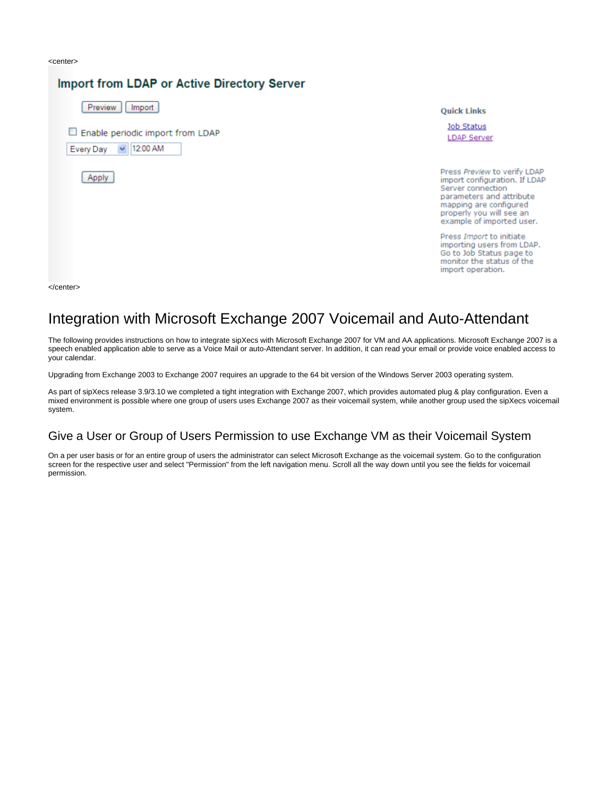<center>

#### **Import from LDAP or Active Directory Server** Preview | Import **Quick Links Job Status** Enable periodic import from LDAP **LDAP Server** 12:00 AM Every Day  $\mathbf{v}$ Press Preview to verify LDAP Apply import configuration. If LDAP Server connection parameters and attribute mapping are configured properly you will see an example of imported user. Press Import to initiate importing users from LDAP. Go to Job Status page to monitor the status of the import operation.

</center>

# Integration with Microsoft Exchange 2007 Voicemail and Auto-Attendant

The following provides instructions on how to integrate sipXecs with Microsoft Exchange 2007 for VM and AA applications. Microsoft Exchange 2007 is a speech enabled application able to serve as a Voice Mail or auto-Attendant server. In addition, it can read your email or provide voice enabled access to your calendar.

Upgrading from Exchange 2003 to Exchange 2007 requires an upgrade to the 64 bit version of the Windows Server 2003 operating system.

As part of sipXecs release 3.9/3.10 we completed a tight integration with Exchange 2007, which provides automated plug & play configuration. Even a mixed environment is possible where one group of users uses Exchange 2007 as their voicemail system, while another group used the sipXecs voicemail system.

## Give a User or Group of Users Permission to use Exchange VM as their Voicemail System

On a per user basis or for an entire group of users the administrator can select Microsoft Exchange as the voicemail system. Go to the configuration screen for the respective user and select "Permission" from the left navigation menu. Scroll all the way down until you see the fields for voicemail permission.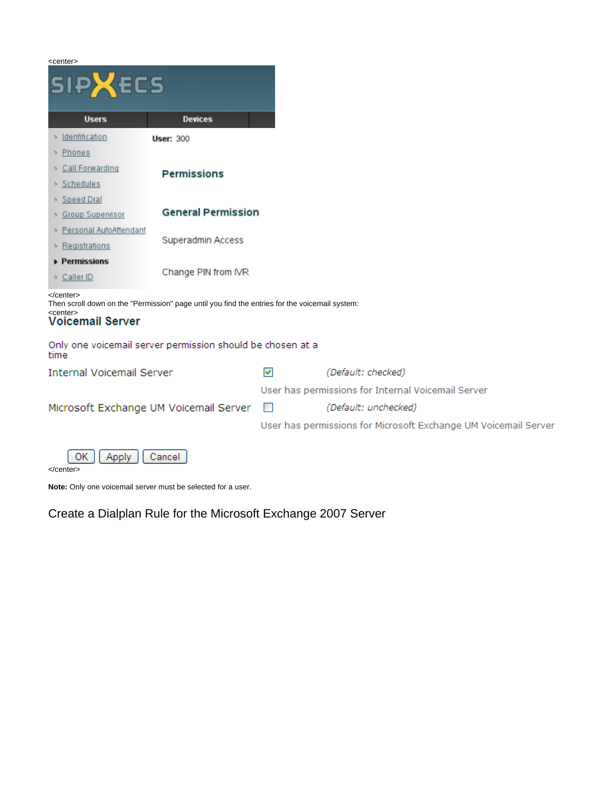| <center><br/><b>SIPXECS</b></center>                                                                                                                            |                           |                                                                 |                      |  |  |
|-----------------------------------------------------------------------------------------------------------------------------------------------------------------|---------------------------|-----------------------------------------------------------------|----------------------|--|--|
| <b>Users</b>                                                                                                                                                    | <b>Devices</b>            |                                                                 |                      |  |  |
| > Identification                                                                                                                                                | <b>User: 300</b>          |                                                                 |                      |  |  |
| ▶ Phones                                                                                                                                                        |                           |                                                                 |                      |  |  |
| > Call Forwarding                                                                                                                                               | Permissions               |                                                                 |                      |  |  |
| ▶ Schedules                                                                                                                                                     |                           |                                                                 |                      |  |  |
| > Speed Dial                                                                                                                                                    | <b>General Permission</b> |                                                                 |                      |  |  |
| > Group Supervisor<br>> Personal AutoAttendant                                                                                                                  |                           |                                                                 |                      |  |  |
| $\triangleright$ Registrations                                                                                                                                  | Superadmin Access         |                                                                 |                      |  |  |
| Permissions                                                                                                                                                     |                           |                                                                 |                      |  |  |
| > Caller ID                                                                                                                                                     | Change PIN from IVR       |                                                                 |                      |  |  |
| $<$ /center><br>Then scroll down on the "Permission" page until you find the entries for the voicemail system:<br><center><br/><b>Voicemail Server</b></center> |                           |                                                                 |                      |  |  |
| Only one voicemail server permission should be chosen at a<br>time                                                                                              |                           |                                                                 |                      |  |  |
| <b>Internal Voicemail Server</b>                                                                                                                                |                           | 罓                                                               | (Default: checked)   |  |  |
| Microsoft Exchange UM Voicemail Server                                                                                                                          |                           | User has permissions for Internal Voicemail Server              |                      |  |  |
|                                                                                                                                                                 |                           | $\Box$                                                          | (Default: unchecked) |  |  |
|                                                                                                                                                                 |                           | User has permissions for Microsoft Exchange UM Voicemail Server |                      |  |  |
| 0K<br>Cancel<br>Apply                                                                                                                                           |                           |                                                                 |                      |  |  |

</center>

**Note:** Only one voicemail server must be selected for a user.

# Create a Dialplan Rule for the Microsoft Exchange 2007 Server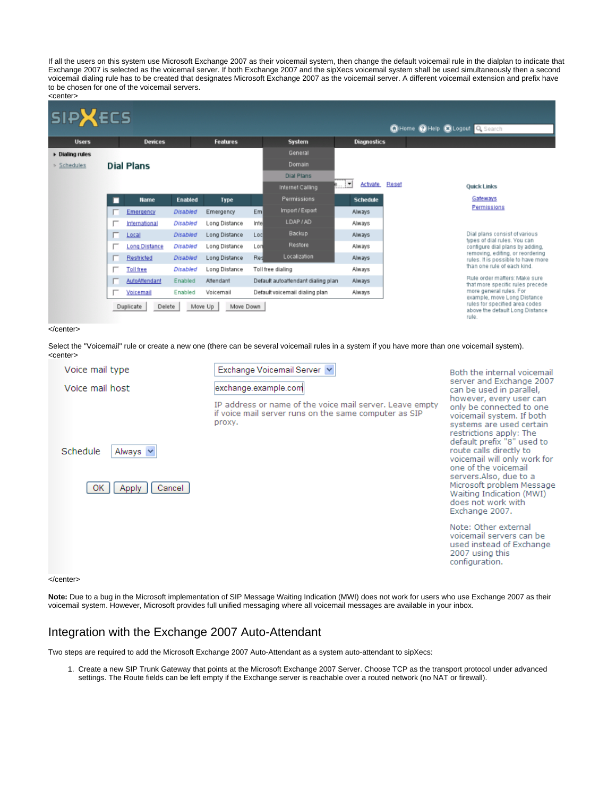If all the users on this system use Microsoft Exchange 2007 as their voicemail system, then change the default voicemail rule in the dialplan to indicate that Exchange 2007 is selected as the voicemail server. If both Exchange 2007 and the sipXecs voicemail system shall be used simultaneously then a second voicemail dialing rule has to be created that designates Microsoft Exchange 2007 as the voicemail server. A different voicemail extension and prefix have to be chosen for one of the voicemail servers.



### </center>

Select the "Voicemail" rule or create a new one (there can be several voicemail rules in a system if you have more than one voicemail system). <center>

| Voice mail type<br>Voice mail host                   | Exchange Voicemail Server<br>exchange.example.com<br>IP address or name of the voice mail server. Leave empty<br>if voice mail server runs on the same computer as SIP<br>proxy. | Both the internal voicemail<br>server and Exchange 2007<br>can be used in parallel,<br>however, every user can<br>only be connected to one<br>voicemail system. If both<br>systems are used certain<br>restrictions apply: The<br>default prefix "8" used to<br>route calls directly to<br>voicemail will only work for<br>one of the voicemail<br>servers.Also, due to a<br>Microsoft problem Message<br>Waiting Indication (MWI)<br>does not work with<br>Exchange 2007. |  |
|------------------------------------------------------|----------------------------------------------------------------------------------------------------------------------------------------------------------------------------------|----------------------------------------------------------------------------------------------------------------------------------------------------------------------------------------------------------------------------------------------------------------------------------------------------------------------------------------------------------------------------------------------------------------------------------------------------------------------------|--|
| Schedule<br>Always <b>v</b><br>0K<br>Cancel<br>Apply |                                                                                                                                                                                  |                                                                                                                                                                                                                                                                                                                                                                                                                                                                            |  |
|                                                      |                                                                                                                                                                                  | Note: Other external<br>voicemail servers can be<br>used instead of Exchange<br>2007 using this<br>configuration.                                                                                                                                                                                                                                                                                                                                                          |  |

#### </center>

Note: Due to a bug in the Microsoft implementation of SIP Message Waiting Indication (MWI) does not work for users who use Exchange 2007 as their voicemail system. However, Microsoft provides full unified messaging where all voicemail messages are available in your inbox.

## Integration with the Exchange 2007 Auto-Attendant

Two steps are required to add the Microsoft Exchange 2007 Auto-Attendant as a system auto-attendant to sipXecs:

1. Create a new SIP Trunk Gateway that points at the Microsoft Exchange 2007 Server. Choose TCP as the transport protocol under advanced settings. The Route fields can be left empty if the Exchange server is reachable over a routed network (no NAT or firewall).